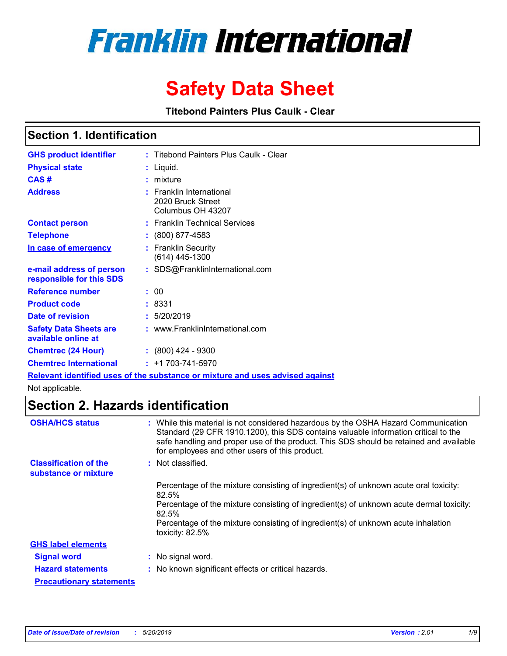# **Franklin International**

## **Safety Data Sheet**

**Titebond Painters Plus Caulk - Clear**

### **Section 1. Identification**

| <b>GHS product identifier</b>                        | : Titebond Painters Plus Caulk - Clear                                               |
|------------------------------------------------------|--------------------------------------------------------------------------------------|
| <b>Physical state</b>                                | : Liquid.                                                                            |
| CAS#                                                 | : mixture                                                                            |
| <b>Address</b>                                       | $:$ Franklin International<br>2020 Bruck Street<br>Columbus OH 43207                 |
| <b>Contact person</b>                                | : Franklin Technical Services                                                        |
| <b>Telephone</b>                                     | $: (800) 877 - 4583$                                                                 |
| In case of emergency                                 | : Franklin Security<br>$(614)$ 445-1300                                              |
| e-mail address of person<br>responsible for this SDS | : SDS@FranklinInternational.com                                                      |
| <b>Reference number</b>                              | : 00                                                                                 |
| <b>Product code</b>                                  | : 8331                                                                               |
| Date of revision                                     | : 5/20/2019                                                                          |
| <b>Safety Data Sheets are</b><br>available online at | : www.FranklinInternational.com                                                      |
| <b>Chemtrec (24 Hour)</b>                            | $\div$ (800) 424 - 9300                                                              |
| <b>Chemtrec International</b>                        | $: +1703 - 741 - 5970$                                                               |
|                                                      | <u>Relevant identified uses of the substance or mixture and uses advised against</u> |

Not applicable.

### **Section 2. Hazards identification**

| <b>OSHA/HCS status</b>                               | : While this material is not considered hazardous by the OSHA Hazard Communication<br>Standard (29 CFR 1910.1200), this SDS contains valuable information critical to the<br>safe handling and proper use of the product. This SDS should be retained and available<br>for employees and other users of this product. |
|------------------------------------------------------|-----------------------------------------------------------------------------------------------------------------------------------------------------------------------------------------------------------------------------------------------------------------------------------------------------------------------|
| <b>Classification of the</b><br>substance or mixture | : Not classified.                                                                                                                                                                                                                                                                                                     |
|                                                      | Percentage of the mixture consisting of ingredient(s) of unknown acute oral toxicity:<br>82.5%                                                                                                                                                                                                                        |
|                                                      | Percentage of the mixture consisting of ingredient(s) of unknown acute dermal toxicity:<br>82.5%                                                                                                                                                                                                                      |
|                                                      | Percentage of the mixture consisting of ingredient(s) of unknown acute inhalation<br>toxicity: 82.5%                                                                                                                                                                                                                  |
| <b>GHS label elements</b>                            |                                                                                                                                                                                                                                                                                                                       |
| <b>Signal word</b>                                   | : No signal word.                                                                                                                                                                                                                                                                                                     |
| <b>Hazard statements</b>                             | : No known significant effects or critical hazards.                                                                                                                                                                                                                                                                   |
| <b>Precautionary statements</b>                      |                                                                                                                                                                                                                                                                                                                       |
|                                                      |                                                                                                                                                                                                                                                                                                                       |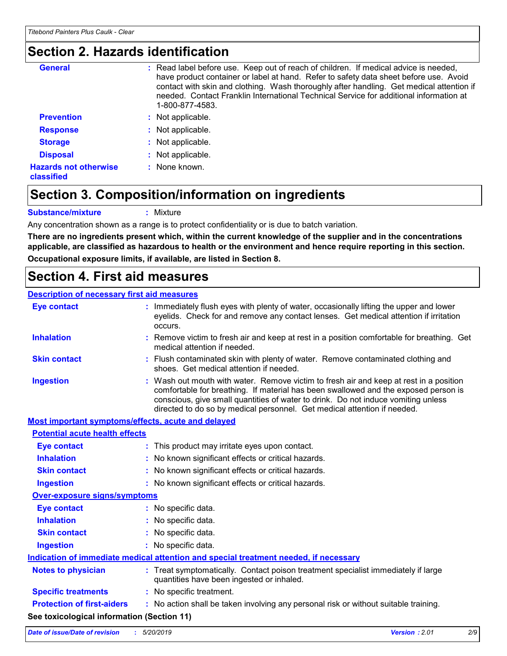### **Section 2. Hazards identification**

| <b>General</b>                             | : Read label before use. Keep out of reach of children. If medical advice is needed,<br>have product container or label at hand. Refer to safety data sheet before use. Avoid<br>contact with skin and clothing. Wash thoroughly after handling. Get medical attention if<br>needed. Contact Franklin International Technical Service for additional information at<br>1-800-877-4583. |
|--------------------------------------------|----------------------------------------------------------------------------------------------------------------------------------------------------------------------------------------------------------------------------------------------------------------------------------------------------------------------------------------------------------------------------------------|
| <b>Prevention</b>                          | : Not applicable.                                                                                                                                                                                                                                                                                                                                                                      |
| <b>Response</b>                            | : Not applicable.                                                                                                                                                                                                                                                                                                                                                                      |
| <b>Storage</b>                             | : Not applicable.                                                                                                                                                                                                                                                                                                                                                                      |
| <b>Disposal</b>                            | : Not applicable.                                                                                                                                                                                                                                                                                                                                                                      |
| <b>Hazards not otherwise</b><br>classified | : None known.                                                                                                                                                                                                                                                                                                                                                                          |

### **Section 3. Composition/information on ingredients**

**Substance/mixture :** Mixture

Any concentration shown as a range is to protect confidentiality or is due to batch variation.

**There are no ingredients present which, within the current knowledge of the supplier and in the concentrations applicable, are classified as hazardous to health or the environment and hence require reporting in this section. Occupational exposure limits, if available, are listed in Section 8.**

### **Section 4. First aid measures**

#### **Description of necessary first aid measures**

| <b>Eye contact</b>                                 |  | : Immediately flush eyes with plenty of water, occasionally lifting the upper and lower<br>eyelids. Check for and remove any contact lenses. Get medical attention if irritation<br>occurs.                                                                                                                                                    |
|----------------------------------------------------|--|------------------------------------------------------------------------------------------------------------------------------------------------------------------------------------------------------------------------------------------------------------------------------------------------------------------------------------------------|
| <b>Inhalation</b>                                  |  | : Remove victim to fresh air and keep at rest in a position comfortable for breathing. Get<br>medical attention if needed.                                                                                                                                                                                                                     |
| <b>Skin contact</b>                                |  | : Flush contaminated skin with plenty of water. Remove contaminated clothing and<br>shoes. Get medical attention if needed.                                                                                                                                                                                                                    |
| <b>Ingestion</b>                                   |  | : Wash out mouth with water. Remove victim to fresh air and keep at rest in a position<br>comfortable for breathing. If material has been swallowed and the exposed person is<br>conscious, give small quantities of water to drink. Do not induce vomiting unless<br>directed to do so by medical personnel. Get medical attention if needed. |
| Most important symptoms/effects, acute and delayed |  |                                                                                                                                                                                                                                                                                                                                                |
| <b>Potential acute health effects</b>              |  |                                                                                                                                                                                                                                                                                                                                                |
| <b>Eye contact</b>                                 |  | : This product may irritate eyes upon contact.                                                                                                                                                                                                                                                                                                 |
| <b>Inhalation</b>                                  |  | : No known significant effects or critical hazards.                                                                                                                                                                                                                                                                                            |
| <b>Skin contact</b>                                |  | : No known significant effects or critical hazards.                                                                                                                                                                                                                                                                                            |
| <b>Ingestion</b>                                   |  | : No known significant effects or critical hazards.                                                                                                                                                                                                                                                                                            |
| <b>Over-exposure signs/symptoms</b>                |  |                                                                                                                                                                                                                                                                                                                                                |
| <b>Eye contact</b>                                 |  | : No specific data.                                                                                                                                                                                                                                                                                                                            |
| <b>Inhalation</b>                                  |  | : No specific data.                                                                                                                                                                                                                                                                                                                            |
| <b>Skin contact</b>                                |  | : No specific data.                                                                                                                                                                                                                                                                                                                            |
| <b>Ingestion</b>                                   |  | : No specific data.                                                                                                                                                                                                                                                                                                                            |
|                                                    |  | Indication of immediate medical attention and special treatment needed, if necessary                                                                                                                                                                                                                                                           |
| <b>Notes to physician</b>                          |  | : Treat symptomatically. Contact poison treatment specialist immediately if large<br>quantities have been ingested or inhaled.                                                                                                                                                                                                                 |
| <b>Specific treatments</b>                         |  | : No specific treatment.                                                                                                                                                                                                                                                                                                                       |
| <b>Protection of first-aiders</b>                  |  | : No action shall be taken involving any personal risk or without suitable training.                                                                                                                                                                                                                                                           |
| See toxicological information (Section 11)         |  |                                                                                                                                                                                                                                                                                                                                                |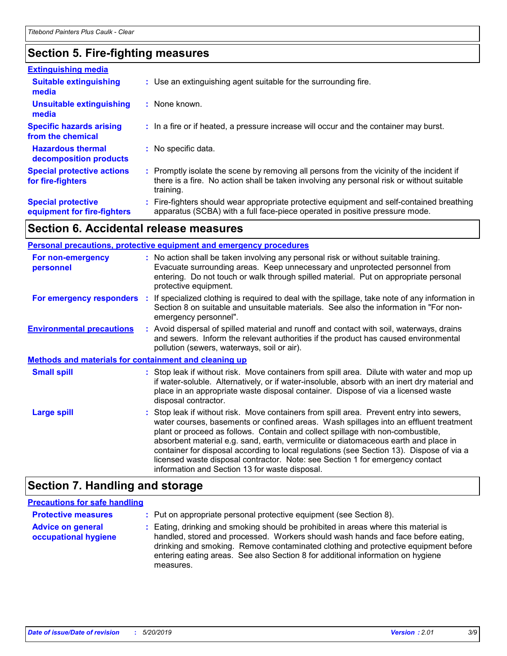### **Section 5. Fire-fighting measures**

| <b>Extinguishing media</b>                               |                                                                                                                                                                                                     |
|----------------------------------------------------------|-----------------------------------------------------------------------------------------------------------------------------------------------------------------------------------------------------|
| <b>Suitable extinguishing</b><br>media                   | : Use an extinguishing agent suitable for the surrounding fire.                                                                                                                                     |
| <b>Unsuitable extinguishing</b><br>media                 | : None known.                                                                                                                                                                                       |
| <b>Specific hazards arising</b><br>from the chemical     | : In a fire or if heated, a pressure increase will occur and the container may burst.                                                                                                               |
| <b>Hazardous thermal</b><br>decomposition products       | : No specific data.                                                                                                                                                                                 |
| <b>Special protective actions</b><br>for fire-fighters   | : Promptly isolate the scene by removing all persons from the vicinity of the incident if<br>there is a fire. No action shall be taken involving any personal risk or without suitable<br>training. |
| <b>Special protective</b><br>equipment for fire-fighters | : Fire-fighters should wear appropriate protective equipment and self-contained breathing<br>apparatus (SCBA) with a full face-piece operated in positive pressure mode.                            |

### **Section 6. Accidental release measures**

| Personal precautions, protective equipment and emergency procedures |  |                                                                                                                                                                                                                                                                                                                                                                                                                                                                                                                                                                                            |
|---------------------------------------------------------------------|--|--------------------------------------------------------------------------------------------------------------------------------------------------------------------------------------------------------------------------------------------------------------------------------------------------------------------------------------------------------------------------------------------------------------------------------------------------------------------------------------------------------------------------------------------------------------------------------------------|
| For non-emergency<br>personnel                                      |  | : No action shall be taken involving any personal risk or without suitable training.<br>Evacuate surrounding areas. Keep unnecessary and unprotected personnel from<br>entering. Do not touch or walk through spilled material. Put on appropriate personal<br>protective equipment.                                                                                                                                                                                                                                                                                                       |
|                                                                     |  | For emergency responders : If specialized clothing is required to deal with the spillage, take note of any information in<br>Section 8 on suitable and unsuitable materials. See also the information in "For non-<br>emergency personnel".                                                                                                                                                                                                                                                                                                                                                |
| <b>Environmental precautions</b>                                    |  | : Avoid dispersal of spilled material and runoff and contact with soil, waterways, drains<br>and sewers. Inform the relevant authorities if the product has caused environmental<br>pollution (sewers, waterways, soil or air).                                                                                                                                                                                                                                                                                                                                                            |
| <b>Methods and materials for containment and cleaning up</b>        |  |                                                                                                                                                                                                                                                                                                                                                                                                                                                                                                                                                                                            |
| <b>Small spill</b>                                                  |  | : Stop leak if without risk. Move containers from spill area. Dilute with water and mop up<br>if water-soluble. Alternatively, or if water-insoluble, absorb with an inert dry material and<br>place in an appropriate waste disposal container. Dispose of via a licensed waste<br>disposal contractor.                                                                                                                                                                                                                                                                                   |
| <b>Large spill</b>                                                  |  | : Stop leak if without risk. Move containers from spill area. Prevent entry into sewers,<br>water courses, basements or confined areas. Wash spillages into an effluent treatment<br>plant or proceed as follows. Contain and collect spillage with non-combustible,<br>absorbent material e.g. sand, earth, vermiculite or diatomaceous earth and place in<br>container for disposal according to local regulations (see Section 13). Dispose of via a<br>licensed waste disposal contractor. Note: see Section 1 for emergency contact<br>information and Section 13 for waste disposal. |

### **Section 7. Handling and storage**

#### **Precautions for safe handling**

| <b>Protective measures</b><br><b>Advice on general</b><br>occupational hygiene | : Put on appropriate personal protective equipment (see Section 8).<br>: Eating, drinking and smoking should be prohibited in areas where this material is<br>handled, stored and processed. Workers should wash hands and face before eating,<br>drinking and smoking. Remove contaminated clothing and protective equipment before<br>entering eating areas. See also Section 8 for additional information on hygiene |
|--------------------------------------------------------------------------------|-------------------------------------------------------------------------------------------------------------------------------------------------------------------------------------------------------------------------------------------------------------------------------------------------------------------------------------------------------------------------------------------------------------------------|
|                                                                                | measures.                                                                                                                                                                                                                                                                                                                                                                                                               |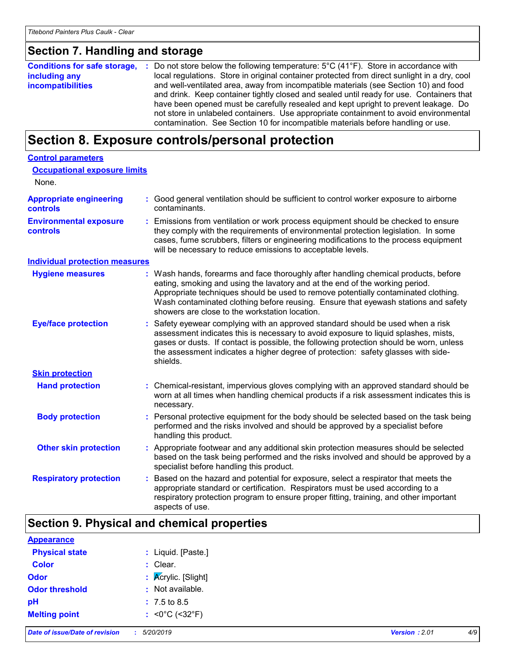### **Section 7. Handling and storage**

|                          | <b>Conditions for safe storage, :</b> Do not store below the following temperature: 5°C (41°F). Store in accordance with |
|--------------------------|--------------------------------------------------------------------------------------------------------------------------|
| including any            | local regulations. Store in original container protected from direct sunlight in a dry, cool                             |
| <b>incompatibilities</b> | and well-ventilated area, away from incompatible materials (see Section 10) and food                                     |
|                          | and drink. Keep container tightly closed and sealed until ready for use. Containers that                                 |
|                          | have been opened must be carefully resealed and kept upright to prevent leakage. Do                                      |
|                          | not store in unlabeled containers. Use appropriate containment to avoid environmental                                    |
|                          | contamination. See Section 10 for incompatible materials before handling or use.                                         |

### **Section 8. Exposure controls/personal protection**

| <b>Control parameters</b><br><b>Occupational exposure limits</b><br>None. |                                                                                                                                                                                                                                                                                                                                                                                                 |
|---------------------------------------------------------------------------|-------------------------------------------------------------------------------------------------------------------------------------------------------------------------------------------------------------------------------------------------------------------------------------------------------------------------------------------------------------------------------------------------|
| <b>Appropriate engineering</b><br><b>controls</b>                         | : Good general ventilation should be sufficient to control worker exposure to airborne<br>contaminants.                                                                                                                                                                                                                                                                                         |
| <b>Environmental exposure</b><br>controls                                 | Emissions from ventilation or work process equipment should be checked to ensure<br>they comply with the requirements of environmental protection legislation. In some<br>cases, fume scrubbers, filters or engineering modifications to the process equipment<br>will be necessary to reduce emissions to acceptable levels.                                                                   |
| <b>Individual protection measures</b>                                     |                                                                                                                                                                                                                                                                                                                                                                                                 |
| <b>Hygiene measures</b>                                                   | Wash hands, forearms and face thoroughly after handling chemical products, before<br>eating, smoking and using the lavatory and at the end of the working period.<br>Appropriate techniques should be used to remove potentially contaminated clothing.<br>Wash contaminated clothing before reusing. Ensure that eyewash stations and safety<br>showers are close to the workstation location. |
| <b>Eye/face protection</b>                                                | Safety eyewear complying with an approved standard should be used when a risk<br>assessment indicates this is necessary to avoid exposure to liquid splashes, mists,<br>gases or dusts. If contact is possible, the following protection should be worn, unless<br>the assessment indicates a higher degree of protection: safety glasses with side-<br>shields.                                |
| <b>Skin protection</b>                                                    |                                                                                                                                                                                                                                                                                                                                                                                                 |
| <b>Hand protection</b>                                                    | : Chemical-resistant, impervious gloves complying with an approved standard should be<br>worn at all times when handling chemical products if a risk assessment indicates this is<br>necessary.                                                                                                                                                                                                 |
| <b>Body protection</b>                                                    | Personal protective equipment for the body should be selected based on the task being<br>performed and the risks involved and should be approved by a specialist before<br>handling this product.                                                                                                                                                                                               |
| <b>Other skin protection</b>                                              | : Appropriate footwear and any additional skin protection measures should be selected<br>based on the task being performed and the risks involved and should be approved by a<br>specialist before handling this product.                                                                                                                                                                       |
| <b>Respiratory protection</b>                                             | Based on the hazard and potential for exposure, select a respirator that meets the<br>appropriate standard or certification. Respirators must be used according to a<br>respiratory protection program to ensure proper fitting, training, and other important<br>aspects of use.                                                                                                               |

### **Section 9. Physical and chemical properties**

| <b>Appearance</b> |
|-------------------|
|-------------------|

| <b>Physical state</b> | : Liquid. [Paste.]                   |
|-----------------------|--------------------------------------|
| <b>Color</b>          | $:$ Clear.                           |
| Odor                  | : Acrylic. [Slight]                  |
| <b>Odor threshold</b> | : Not available.                     |
| рH                    | $: 7.5 \text{ to } 8.5$              |
| <b>Melting point</b>  | : < $0^{\circ}$ C (< $32^{\circ}$ F) |
|                       |                                      |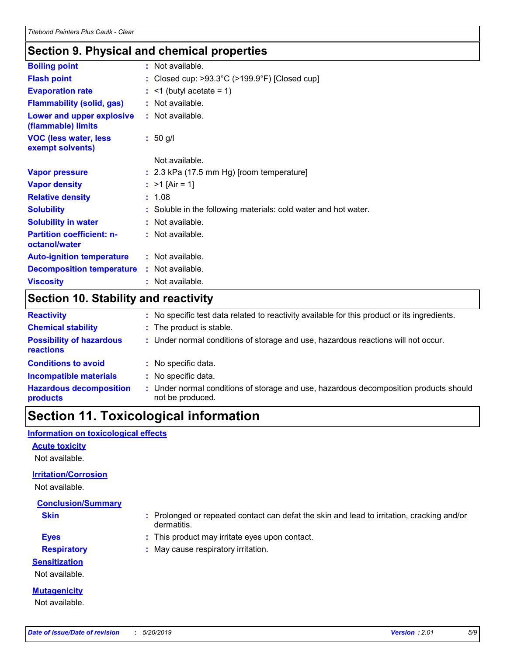### **Section 9. Physical and chemical properties**

| <b>Boiling point</b>                              | : Not available.                                                   |
|---------------------------------------------------|--------------------------------------------------------------------|
| <b>Flash point</b>                                | : Closed cup: $>93.3^{\circ}$ C ( $>199.9^{\circ}$ F) [Closed cup] |
| <b>Evaporation rate</b>                           | $:$ <1 (butyl acetate = 1)                                         |
| <b>Flammability (solid, gas)</b>                  | : Not available.                                                   |
| Lower and upper explosive<br>(flammable) limits   | $:$ Not available.                                                 |
| <b>VOC (less water, less)</b><br>exempt solvents) | $: 50$ g/l                                                         |
|                                                   | Not available.                                                     |
| <b>Vapor pressure</b>                             | $: 2.3$ kPa (17.5 mm Hg) [room temperature]                        |
| <b>Vapor density</b>                              | : $>1$ [Air = 1]                                                   |
| <b>Relative density</b>                           | : 1.08                                                             |
| <b>Solubility</b>                                 | : Soluble in the following materials: cold water and hot water.    |
| <b>Solubility in water</b>                        | : Not available.                                                   |
| <b>Partition coefficient: n-</b><br>octanol/water | : Not available.                                                   |
| <b>Auto-ignition temperature</b>                  | : Not available.                                                   |
| <b>Decomposition temperature</b>                  | : Not available.                                                   |
| <b>Viscosity</b>                                  | Not available.                                                     |
|                                                   |                                                                    |

### **Section 10. Stability and reactivity**

| <b>Reactivity</b>                            |    | : No specific test data related to reactivity available for this product or its ingredients.            |  |  |
|----------------------------------------------|----|---------------------------------------------------------------------------------------------------------|--|--|
| <b>Chemical stability</b>                    |    | : The product is stable.                                                                                |  |  |
| <b>Possibility of hazardous</b><br>reactions |    | : Under normal conditions of storage and use, hazardous reactions will not occur.                       |  |  |
| <b>Conditions to avoid</b>                   |    | : No specific data.                                                                                     |  |  |
| <b>Incompatible materials</b>                | ÷. | No specific data.                                                                                       |  |  |
| <b>Hazardous decomposition</b><br>products   |    | Under normal conditions of storage and use, hazardous decomposition products should<br>not be produced. |  |  |

### **Section 11. Toxicological information**

#### **Information on toxicological effects**

#### **Acute toxicity**

Not available.

#### **Irritation/Corrosion**

Not available.

### **Conclusion/Summary**

- **Skin :** Prolonged or repeated contact can defat the skin and lead to irritation, cracking and/or dermatitis.
- 
- **Eyes :** This product may irritate eyes upon contact.
- **Respiratory :** May cause respiratory irritation.

**Sensitization**

Not available.

**Mutagenicity** Not available.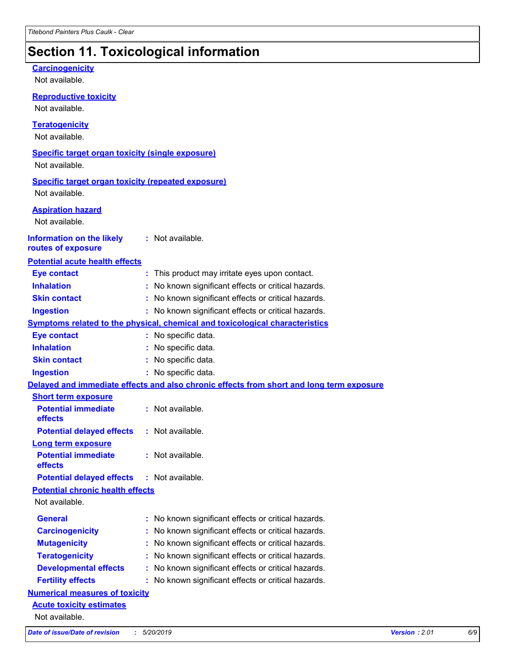### **Section 11. Toxicological information**

| <b>Carcinogenicity</b><br>Not available.                  |                                                                                          |  |  |
|-----------------------------------------------------------|------------------------------------------------------------------------------------------|--|--|
| <b>Reproductive toxicity</b>                              |                                                                                          |  |  |
| Not available.                                            |                                                                                          |  |  |
| <b>Teratogenicity</b>                                     |                                                                                          |  |  |
| Not available.                                            |                                                                                          |  |  |
| <b>Specific target organ toxicity (single exposure)</b>   |                                                                                          |  |  |
| Not available.                                            |                                                                                          |  |  |
| <b>Specific target organ toxicity (repeated exposure)</b> |                                                                                          |  |  |
| Not available.                                            |                                                                                          |  |  |
| <b>Aspiration hazard</b>                                  |                                                                                          |  |  |
| Not available.                                            |                                                                                          |  |  |
| <b>Information on the likely</b>                          | : Not available.                                                                         |  |  |
| routes of exposure                                        |                                                                                          |  |  |
| <b>Potential acute health effects</b>                     |                                                                                          |  |  |
| <b>Eye contact</b>                                        | : This product may irritate eyes upon contact.                                           |  |  |
| <b>Inhalation</b>                                         | : No known significant effects or critical hazards.                                      |  |  |
| <b>Skin contact</b>                                       | : No known significant effects or critical hazards.                                      |  |  |
| <b>Ingestion</b>                                          | : No known significant effects or critical hazards.                                      |  |  |
|                                                           | Symptoms related to the physical, chemical and toxicological characteristics             |  |  |
| <b>Eye contact</b>                                        | : No specific data.                                                                      |  |  |
| <b>Inhalation</b>                                         | No specific data.                                                                        |  |  |
| <b>Skin contact</b>                                       | : No specific data.                                                                      |  |  |
| <b>Ingestion</b>                                          | : No specific data.                                                                      |  |  |
|                                                           | Delayed and immediate effects and also chronic effects from short and long term exposure |  |  |
| <b>Short term exposure</b>                                |                                                                                          |  |  |
| <b>Potential immediate</b><br>effects                     | : Not available.                                                                         |  |  |
| <b>Potential delayed effects : Not available.</b>         |                                                                                          |  |  |
| Long term exposure                                        |                                                                                          |  |  |
| <b>Potential immediate</b><br>effects                     | : Not available.                                                                         |  |  |
| <b>Potential delayed effects</b>                          | : Not available.                                                                         |  |  |
| <b>Potential chronic health effects</b>                   |                                                                                          |  |  |
| Not available.                                            |                                                                                          |  |  |
| <b>General</b>                                            | : No known significant effects or critical hazards.                                      |  |  |
| <b>Carcinogenicity</b>                                    | No known significant effects or critical hazards.                                        |  |  |
| <b>Mutagenicity</b>                                       | No known significant effects or critical hazards.                                        |  |  |
| <b>Teratogenicity</b>                                     | No known significant effects or critical hazards.                                        |  |  |
| <b>Developmental effects</b>                              | No known significant effects or critical hazards.                                        |  |  |
| <b>Fertility effects</b>                                  | : No known significant effects or critical hazards.                                      |  |  |
| <b>Numerical measures of toxicity</b>                     |                                                                                          |  |  |
| <b>Acute toxicity estimates</b>                           |                                                                                          |  |  |
| Not available.                                            |                                                                                          |  |  |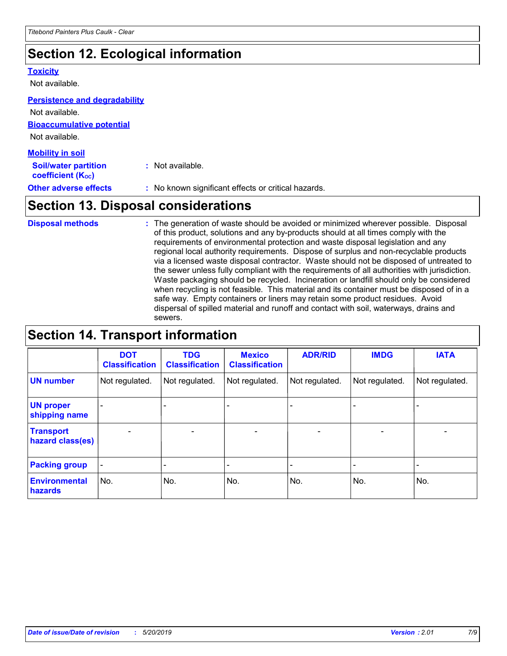### **Section 12. Ecological information**

#### **Toxicity**

Not available.

#### **Persistence and degradability**

**Bioaccumulative potential** Not available. Not available.

| <b>Mobility in soil</b>                                       |                                                     |  |  |  |
|---------------------------------------------------------------|-----------------------------------------------------|--|--|--|
| <b>Soil/water partition</b><br>coefficient (K <sub>oc</sub> ) | : Not available.                                    |  |  |  |
| <b>Other adverse effects</b>                                  | : No known significant effects or critical hazards. |  |  |  |

### **Section 13. Disposal considerations**

The generation of waste should be avoided or minimized wherever possible. Disposal of this product, solutions and any by-products should at all times comply with the requirements of environmental protection and waste disposal legislation and any regional local authority requirements. Dispose of surplus and non-recyclable products via a licensed waste disposal contractor. Waste should not be disposed of untreated to the sewer unless fully compliant with the requirements of all authorities with jurisdiction. Waste packaging should be recycled. Incineration or landfill should only be considered when recycling is not feasible. This material and its container must be disposed of in a safe way. Empty containers or liners may retain some product residues. Avoid dispersal of spilled material and runoff and contact with soil, waterways, drains and sewers. **Disposal methods :**

### **Section 14. Transport information**

|                                      | <b>DOT</b><br><b>Classification</b> | <b>TDG</b><br><b>Classification</b> | <b>Mexico</b><br><b>Classification</b> | <b>ADR/RID</b>               | <b>IMDG</b>              | <b>IATA</b>              |
|--------------------------------------|-------------------------------------|-------------------------------------|----------------------------------------|------------------------------|--------------------------|--------------------------|
| <b>UN number</b>                     | Not regulated.                      | Not regulated.                      | Not regulated.                         | Not regulated.               | Not regulated.           | Not regulated.           |
| <b>UN proper</b><br>shipping name    |                                     |                                     |                                        |                              |                          |                          |
| <b>Transport</b><br>hazard class(es) | $\overline{\phantom{m}}$            | $\overline{\phantom{0}}$            | $\qquad \qquad$                        | $\qquad \qquad \blacksquare$ | $\overline{\phantom{0}}$ | $\overline{\phantom{0}}$ |
| <b>Packing group</b>                 | $\overline{\phantom{a}}$            | -                                   |                                        | -                            |                          | -                        |
| <b>Environmental</b><br>hazards      | No.                                 | No.                                 | No.                                    | No.                          | No.                      | No.                      |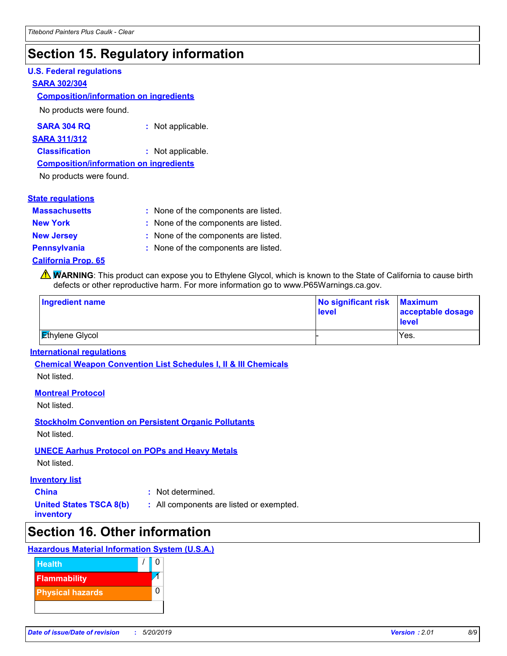### **Section 15. Regulatory information**

#### **U.S. Federal regulations**

#### **SARA 302/304**

#### **Composition/information on ingredients**

No products were found.

| SARA 304 RQ | Not applicable. |
|-------------|-----------------|
|-------------|-----------------|

#### **SARA 311/312**

**Classification :** Not applicable.

#### **Composition/information on ingredients**

No products were found.

| <b>State regulations</b>   |                                      |
|----------------------------|--------------------------------------|
| <b>Massachusetts</b>       | : None of the components are listed. |
| <b>New York</b>            | : None of the components are listed. |
| <b>New Jersey</b>          | : None of the components are listed. |
| <b>Pennsylvania</b>        | : None of the components are listed. |
| <b>California Prop. 65</b> |                                      |

**WARNING**: This product can expose you to Ethylene Glycol, which is known to the State of California to cause birth defects or other reproductive harm. For more information go to www.P65Warnings.ca.gov.

| Ingredient name        | No significant risk<br><b>level</b> | <b>Maximum</b><br>acceptable dosage<br><b>level</b> |
|------------------------|-------------------------------------|-----------------------------------------------------|
| <b>Ethylene Glycol</b> |                                     | Yes.                                                |

#### **International regulations**

**Chemical Weapon Convention List Schedules I, II & III Chemicals**

Not listed.

#### **Montreal Protocol**

Not listed.

#### **Stockholm Convention on Persistent Organic Pollutants**

Not listed.

#### **UNECE Aarhus Protocol on POPs and Heavy Metals**

Not listed.

#### **Inventory list**

- 
- **China :** Not determined.
- **United States TSCA 8(b) inventory**
- 
- 
- **:** All components are listed or exempted.

### **Section 16. Other information**

#### **Hazardous Material Information System (U.S.A.)**